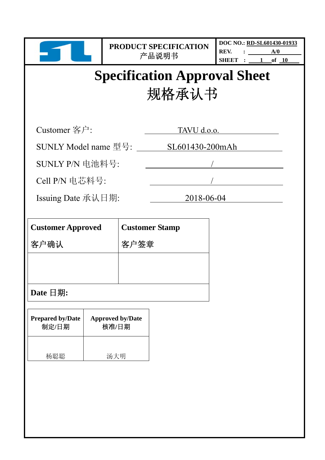| DOC NO.: RD-SL601430-01933 |  |  |     |           |  |
|----------------------------|--|--|-----|-----------|--|
| REV.                       |  |  | A/0 |           |  |
| SHEET                      |  |  | of  | <b>10</b> |  |

# **Specification Approval Sheet**  规格承认书

Customer 客户: TAVU d.o.o.

SUNLY Model name 型号: \_\_\_\_\_\_\_ SL601430-200mAh

SUNLY P/N 电池料号:

Cell P/N 电芯料号:

Issuing Date 承认日期: 2018-06-04

| <b>Customer Approved</b> | <b>Customer Stamp</b> |
|--------------------------|-----------------------|
| 客户确认                     | '签章<br>客              |
|                          |                       |
|                          |                       |
| Date $\Box$ 期:           |                       |

| <b>Prepared by/Date</b> | <b>Approved by/Date</b> |
|-------------------------|-------------------------|
| 制定/日期                   | 核准/日期                   |
| 杨聪聪                     | 汤大明                     |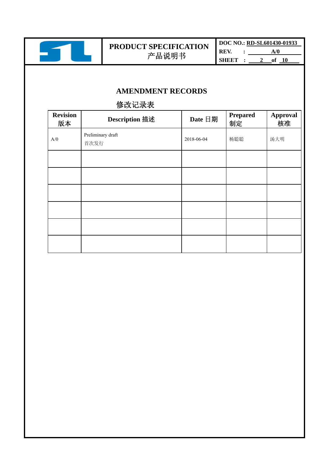

**DOC NO.: RD-SL601430-01933 REV.** : <u>A/0</u> **SHEET** : <u>2</u> of 10

## **AMENDMENT RECORDS**

## 修改记录表

| <b>Revision</b><br>版本 | <b>Description 描述</b>     | Date 日期    | <b>Prepared</b><br>制定 | <b>Approval</b><br>核准 |
|-----------------------|---------------------------|------------|-----------------------|-----------------------|
| A/0                   | Preliminary draft<br>首次发行 | 2018-06-04 | 杨聪聪                   | 汤大明                   |
|                       |                           |            |                       |                       |
|                       |                           |            |                       |                       |
|                       |                           |            |                       |                       |
|                       |                           |            |                       |                       |
|                       |                           |            |                       |                       |
|                       |                           |            |                       |                       |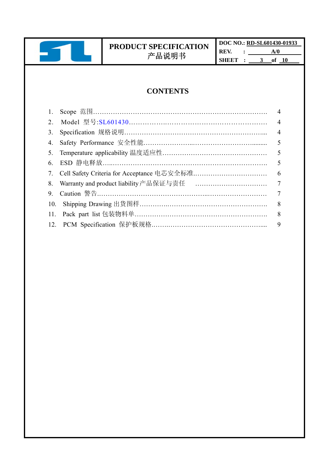

**DOC NO.: RD-SL601430-01933 REV.** : <u>A/0</u> **SHEET** : 3 of 10

## **CONTENTS**

|     |                                               | $\overline{4}$ |
|-----|-----------------------------------------------|----------------|
| 2.  |                                               | $\overline{4}$ |
| 3.  |                                               | $\overline{4}$ |
| 4.  |                                               | 5              |
| 5.  |                                               | 5              |
| 6.  |                                               | 5              |
|     | 7. Cell Safety Criteria for Acceptance 电芯安全标准 | 6              |
|     |                                               | $\overline{7}$ |
| 9.  |                                               | 7              |
| 10. |                                               | 8              |
| 11. |                                               | 8              |
|     |                                               | 9              |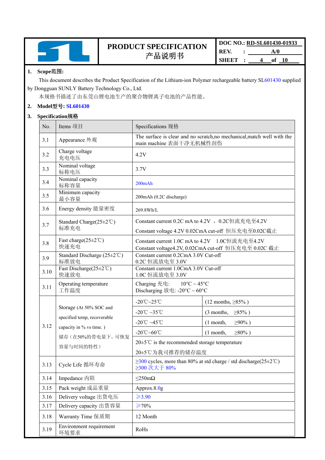

| DOC NO.: RD-SL601430-01933 |  |               |  |  |
|----------------------------|--|---------------|--|--|
| REV.                       |  | A/0           |  |  |
| SHEET                      |  | 10<br>4<br>of |  |  |

#### **1. Scope**范围**:**

This document describes the Product Specification of the Lithium-ion Polymer rechargeable battery SL601430 supplied by Dongguan SUNLY Battery Technology Co., Ltd.

本规格书描述了由东莞山锂电池生产的聚合物锂离子电池的产品性能。

#### **2. Model**型号**: SL601430**

#### **3. Specification**规格

| No.  | Items 项目                                                | Specifications 规格                                                                                      |                                                    |  |
|------|---------------------------------------------------------|--------------------------------------------------------------------------------------------------------|----------------------------------------------------|--|
| 3.1  | Appearance 外观                                           | The surface is clear and no scratch, no mechanical, match well with the<br>main machine 表面干净无机械性刮伤     |                                                    |  |
| 3.2  | Charge voltage<br>充电电压                                  | 4.2V                                                                                                   |                                                    |  |
| 3.3  | Nominal voltage<br>标称电压                                 | 3.7V                                                                                                   |                                                    |  |
| 3.4  | Nominal capacity<br>标称容量                                | $200$ mAh                                                                                              |                                                    |  |
| 3.5  | Minimum capacity<br>最小容量                                | 200mAh (0.2C discharge)                                                                                |                                                    |  |
| 3.6  | Energy density 能量密度                                     | 269.8Wh/L                                                                                              |                                                    |  |
| 3.7  | Standard Charge $(25 \pm 2^{\circ} \text{C})$<br>标准充电   | Constant current 0.2C mA to 4.2V, 0.2C恒流充电至4.2V                                                        | Constant voltage 4.2V 0.02CmA cut-off 恒压充电至0.02C截止 |  |
| 3.8  | Fast charge $(25 \pm 2^{\circ}\mathrm{C})$<br>快速充电      | Constant current 1.0C mA to 4.2V 1.0C恒流充电至4.2V<br>Constant voltage4.2V, 0.02CmA cut-off 恒压充电至 0.02C 截止 |                                                    |  |
| 3.9  | Standard Discharge $(25\pm2^{\circ}\mathrm{C})$<br>标准放电 | Constant current 0.2CmA 3.0V Cut-off<br>0.2C 恒流放电至 3.0V                                                |                                                    |  |
| 3.10 | Fast Discharge $(25 \pm 2^{\circ}C)$<br>快速放电            | Constant current 1.0CmA 3.0V Cut-off<br>1.0C 恒流放电至 3.0V                                                |                                                    |  |
| 3.11 | Operating temperature<br>工作温度                           | Charging 充电: $10^{\circ}$ C ~ 45°C<br>Discharging 放电: -20°C ~ 60°C                                     |                                                    |  |
|      |                                                         | -20 $\degree$ C $\sim$ 25 $\degree$ C<br>$(12$ months, $\geq 85\%$ )                                   |                                                    |  |
|      | Storage (At 50% SOC and                                 | -20°C ~35°C                                                                                            | $(3$ months, $\geq 85\%$ )                         |  |
|      | specified temp, recoverable                             | -20°C ~45°C                                                                                            | $\geq 90\%$ )<br>$(1$ month,                       |  |
| 3.12 | capacity in % vs time.)                                 | $-20^{\circ}\text{C}$ ~60 $^{\circ}\text{C}$                                                           | $\geq 80\%$ )<br>$(1$ month,                       |  |
|      | 储存(在50%的带电量下,可恢复                                        | $20 \pm 5^{\circ}$ C is the recommended storage temperature                                            |                                                    |  |
|      | 容量与时间的特性)                                               | 20±5℃为我司推荐的储存温度                                                                                        |                                                    |  |
| 3.13 | Cycle Life 循环寿命                                         | $\geq$ 300 cycles, more than 80% at std charge / std discharge(25 $\pm$ 2°C)<br>≥300 次大于 80%           |                                                    |  |
| 3.14 | Impedance 内阻                                            | $\leq$ 250m $\Omega$                                                                                   |                                                    |  |
| 3.15 | Pack weight 成品重量                                        | Approx. $8.0g$                                                                                         |                                                    |  |
| 3.16 | Delivery voltage 出货电压                                   | $≥3.90$                                                                                                |                                                    |  |
| 3.17 | Delivery capacity 出货容量                                  | $\geq 70\%$                                                                                            |                                                    |  |
| 3.18 | Warranty Time 保质期                                       | 12 Month                                                                                               |                                                    |  |
| 3.19 | Environment requirement<br>环境要求                         | RoHs                                                                                                   |                                                    |  |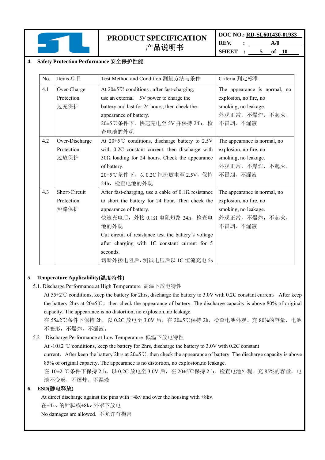

**DOC NO.: RD-SL601430-01933 REV. : A/0 SHEET : 5 of 10** 

#### **4. Safety Protection Performance** 安全保护性能

| No. | Items 项目       | Test Method and Condition 测量方法与条件                             | Criteria 判定标准                |
|-----|----------------|---------------------------------------------------------------|------------------------------|
| 4.1 | Over-Charge    | At $20 \pm 5^{\circ}$ C conditions, after fast-charging,      | The appearance is normal, no |
|     | Protection     | use an external 5V power to charge the                        | explosion, no fire, no       |
|     | 过充保护           | battery and last for 24 hours, then check the                 | smoking, no leakage.         |
|     |                | appearance of battery.                                        | 外观正常,不爆炸,不起火,                |
|     |                | 20±5℃条件下, 快速充电至 5V 并保持 24h, 检                                 | 不冒烟,不漏液                      |
|     |                | 查电池的外观                                                        |                              |
| 4.2 | Over-Discharge | At $20 \pm 5^{\circ}$ C conditions, discharge battery to 2.5V | The appearance is normal, no |
|     | Protection     | with 0.2C constant current, then discharge with               | explosion, no fire, no       |
|     | 过放保护           | $30\Omega$ loading for 24 hours. Check the appearance         | smoking, no leakage.         |
|     |                | of battery.                                                   | 外观正常, 不爆炸, 不起火,              |
|     |                | 20±5℃条件下, 以 0.2C 恒流放电至 2.5V, 保持                               | 不冒烟,不漏液                      |
|     |                | 24h, 检查电池的外观                                                  |                              |
| 4.3 | Short-Circuit  | After fast-charging, use a cable of $0.1\Omega$ resistance    | The appearance is normal, no |
|     | Protection     | to short the battery for 24 hour. Then check the              | explosion, no fire, no       |
|     | 短路保护           | appearance of battery.                                        | smoking, no leakage.         |
|     |                | 快速充电后, 外接 0.1Ω 电阻短路 24h, 检查电                                  | 外观正常, 不爆炸, 不起火,              |
|     |                | 池的外观                                                          | 不冒烟,不漏液                      |
|     |                | Cut circuit of resistance test the battery's voltage          |                              |
|     |                | after charging with 1C constant current for 5                 |                              |
|     |                | seconds.                                                      |                              |
|     |                | 切断外接电阻后, 测试电压后以 1C 恒流充电 5s                                    |                              |

#### **5. Temperature Applicability(**温度特性**)**

5.1. Discharge Performance at High Temperature 高温下放电特性

At 55±2℃ conditions, keep the battery for 2hrs, discharge the battery to 3.0V with 0.2C constant current, After keep the battery 2hrs at  $20\pm5^{\circ}$ C, then check the appearance of battery. The discharge capacity is above 80% of original capacity. The appearance is no distortion, no explosion, no leakage.

在 55±2℃条件下保持 2h, 以 0.2C 放电至 3.0V 后, 在 20±5℃保持 2h, 检查电池外观。充 80%的容量, 电池 不变形,不爆炸,不漏液。

5.2 Discharge Performance at Low Temperature 低温下放电特性

At -10±2 ℃ conditions, keep the battery for 2hrs, discharge the battery to 3.0V with 0.2C constant

current, After keep the battery 2hrs at 20±5℃, then check the appearance of battery. The discharge capacity is above 85% of original capacity. The appearance is no distortion, no explosion,no leakage.

在-10±2 ℃条件下保持 2 h, 以 0.2C 放电至 3.0V 后, 在 20±5℃保持 2 h, 检查电池外观。充 85%的容量, 电 池不变形,不爆炸,不漏液

#### **6. ESD(**静电释放**)**

At direct discharge against the pins with  $\pm 4kv$  and over the housing with  $\pm 8kv$ .

在±4kv 的针脚或±8kv 外罩下放电

No damages are allowed. 不允许有损害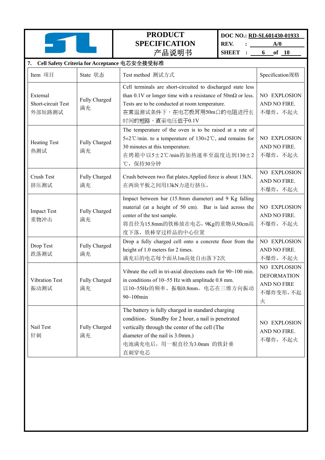**DOC NO.: RD-SL601430-01933** 

**REV.** : <u>A/0</u>

**SHEET** : <u>6 of 10</u>

| 7. Cell Safety Criteria for Acceptance 电芯安全接受标准 |                     |                                                                                                                                                                                                                                              |                                                                    |
|-------------------------------------------------|---------------------|----------------------------------------------------------------------------------------------------------------------------------------------------------------------------------------------------------------------------------------------|--------------------------------------------------------------------|
| Item 项目                                         | State 状态            | Test method 测试方式                                                                                                                                                                                                                             | Specification规格                                                    |
| External<br>Short-circuit Test<br>外部短路测试        | Fully Charged<br>满充 | Cell terminals are short-circuited to discharged state less<br>than 0.1V or longer time with a resistance of $50 \text{m}\Omega$ or less.<br>Tests are to be conducted at room temperature.<br>在常温测试条件下,在电芯极耳用50mΩ的电阻进行长<br>时间的短路,直至电压低于0.1V | NO EXPLOSION<br>AND NO FIRE.<br>不爆炸, 不起火                           |
| <b>Heating Test</b><br>热测试                      | Fully Charged<br>满充 | The temperature of the oven is to be raised at a rate of<br>5±2°C/min. to a temperature of 130±2°C, and remains for<br>30 minutes at this temperature.<br>在烤箱中以5±2℃/min的加热速率至温度达到130±2<br>℃, 保持30分钟                                          | NO EXPLOSION<br>AND NO FIRE.<br>不爆炸, 不起火                           |
| Crush Test<br>挤压测试                              | Fully Charged<br>满充 | Crush between two flat plates. Applied force is about 13kN.<br>在两块平板之间用13kN力进行挤压,                                                                                                                                                            | NO EXPLOSION<br>AND NO FIRE.<br>不爆炸,不起火                            |
| <b>Impact Test</b><br>重物冲击                      | Fully Charged<br>满充 | Impact between bar (15.8mm diameter) and 9 Kg falling<br>material (at a height of 50 cm). Bar is laid across the<br>center of the test sample.<br>将直径为15.8mm的铁棒放在电芯, 9Kg的重物从50cm高<br>度下落, 铁棒穿过样品的中心位置                                        | NO EXPLOSION<br>AND NO FIRE.<br>不爆炸,不起火                            |
| Drop Test<br>跌落测试                               | Fully Charged<br>满充 | Drop a fully charged cell onto a concrete floor from the<br>height of 1.0 meters for 2 times.<br>满充后的电芯每个面从1m高处自由落下2次                                                                                                                        | NO EXPLOSION<br>AND NO FIRE.<br>不爆炸,不起火                            |
| Vibration Test<br>振动测试                          | Fully Charged<br>满充 | Vibrate the cell in tri-axial directions each for 90~100 min.<br>in conditions of $10 \sim 55$ Hz with amplitude 0.8 mm.<br>以10~55Hz的频率、振幅0.8mm, 电芯在三维方向振动<br>90~100min                                                                      | NO EXPLOSION<br><b>DEFORMATION</b><br>AND NO FIRE<br>不爆炸变形,不起<br>火 |
| Nail Test<br>针刺                                 | Fully Charged<br>满充 | The battery is fully charged in standard charging<br>condition, Standby for 2 hour, a nail is penetrated<br>vertically through the center of the cell (The<br>diameter of the nail is 3.0mm.)<br>电池满充电后, 用一根直径为3.0mm 的铁針垂<br>直刺穿电芯           | NO EXPLOSION<br>AND NO FIRE.<br>不爆炸,不起火                            |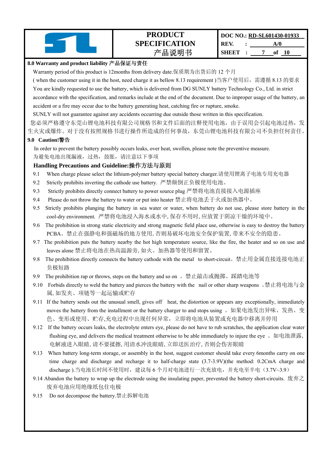#### **8.0 Warranty and product liability** 产品保证与责任

Warranty period of this product is 12months from delivery date.保质期为出货后的 12 个月

( when the customer using it in the host, need charge it as bellow 8.13 requirement )当客户使用后,需遵循 8.13 的要求 You are kindly requested to use the battery, which is delivered from DG SUNLY battery Technology Co., Ltd. in strict accordance with the specification, and remarks include at the end of the document. Due to improper usage of the battery, an accident or a fire may occur due to the battery generating heat, catching fire or rupture, smoke.

SUNLY will not guarantee against any accidents occurring due outside those written in this specification.

您必须严格遵守东莞山锂电池科技有限公司规格书和文件后面的注释使用电池,由于误用会引起电池过热,发

生火灾或爆炸。对于没有按照规格书进行操作所造成的任何事故,东莞山锂电池科技有限公司不负担任何责任。

#### **9.0 Caution!**警告

In order to prevent the battery possibly occurs leaks, over heat, swollen, please note the preventive measure. 为避免电池出现漏液,过热,鼓胀,请注意以下事项

#### **Handling Precautions and Guideline:**操作方法与原则

- 9.1 When charge please select the lithium-polymer battery special battery charger.请使用锂离子电池专用充电器
- 9.2 Strictly prohibits inverting the cathode use battery. 严禁颠倒正负极使用电池。
- 9.3 Strictly prohibits directly connect battery to power source plug 严禁将电池直接接入电源插座
- 9.4 Please do not throw the battery to water or put into heater 禁止将电池丢于火或加热器中。
- 9.5 Strictly prohibits plunging the battery in sea water or water, when battery do not use, please store battery in the cool-dry environment. 严禁将电池浸入海水或水中,保存不用时,应放置于阴凉干燥的环境中。
- 9.6 The prohibition in strong static electricity and strong magnetic field place use, otherwise is easy to destroy the battery PCBA。禁止在强静电和强磁场的地方使用,否则易破坏电池安全保护装置,带来不安全的隐患。
- 9.7 The prohibition puts the battery nearby the hot high temperature source, like the fire, the heater and so on use and leaves alone 禁止将电池在热高温源旁,如火、加热器等使用和留置。
- 9.8 The prohibition directly connects the battery cathode with the metal to short-circuit。禁止用金属直接连接电池正 负极短路
- 9.9 The prohibition rap or throws, steps on the battery and so on 。禁止敲击或抛掷、踩踏电池等
- 9.10 Forbids directly to weld the battery and pierces the battery with the nail or other sharp weapons 。 禁止将电池与金 属,如发夹、项链等一起运输或贮存
- 9.11 If the battery sends out the unusual smell, gives off heat, the distortion or appears any exceptionally, immediately moves the battery from the installment or the battery charger to and stops using 。如果电池发出异味、发热、变 色、变形或使用、贮存,充电过程中出现任何异常,立即将电池从装置或充电器中移离并停用
- 9.12 If the battery occurs leaks, the electrolyte enters eye, please do not have to rub scratches, the application clear water flushing eye, and delivers the medical treatment otherwise to be able immediately to injure the eye. 如电池泄露, 电解液进入眼睛,请不要揉擦,用清水冲洗眼睛,立即送医治疗,否则会伤害眼睛
- 9.13 When battery long-term storage, or assembly in the host, suggest customer should take every 6months carry on one time charge and discharge and recharge it to half-charge state (3.7-3.9V)(the method: 0.2CmA charge and discharge).当电池长时间不使用时, 建议每 6 个月对电池进行一次充放电, 并充电至半电(3.7V~3.9)
- 9.14 Abandon the battery to wrap up the electrode using the insulating paper, prevented the battery short-circuits. 废弃之 废弃电池应用绝缘纸包住电极
- 9.15 Do not decompose the battery.禁止拆解电池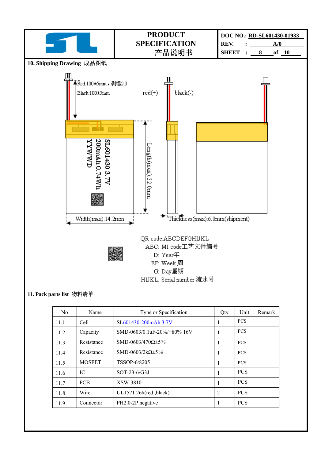

#### **11. Pack parts list** 物料清单

| N <sub>0</sub> | Name          | Type or Specification                | Qty | Unit       | Remark |
|----------------|---------------|--------------------------------------|-----|------------|--------|
| 11.1           | Cell          | SL <sub>60</sub> 1430-200 m A h 3.7V | 1   | <b>PCS</b> |        |
| 11.2           | Capacity      | SMD-0603/0.1uF-20%/+80% 16V          | 1   | <b>PCS</b> |        |
| 11.3           | Resistance    | SMD-0603/470 $\Omega \pm 5\%$        | 1   | <b>PCS</b> |        |
| 11.4           | Resistance    | SMD-0603/2kΩ $\pm$ 5%                | 1   | <b>PCS</b> |        |
| 11.5           | <b>MOSFET</b> | TSSOP-6/8205                         | 1   | <b>PCS</b> |        |
| 11.6           | IС            | $SOT-23-6/G3J$                       | 1   | <b>PCS</b> |        |
| 11.7           | <b>PCB</b>    | XSW-3810                             | 1   | <b>PCS</b> |        |
| 11.8           | Wire          | UL1571 26#(red ,black)               | 2   | <b>PCS</b> |        |
| 11.9           | Connector     | PH2.0-2P negative                    | 1   | <b>PCS</b> |        |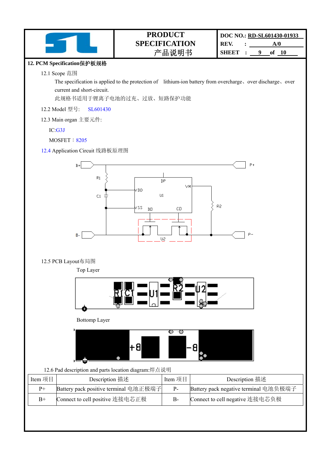